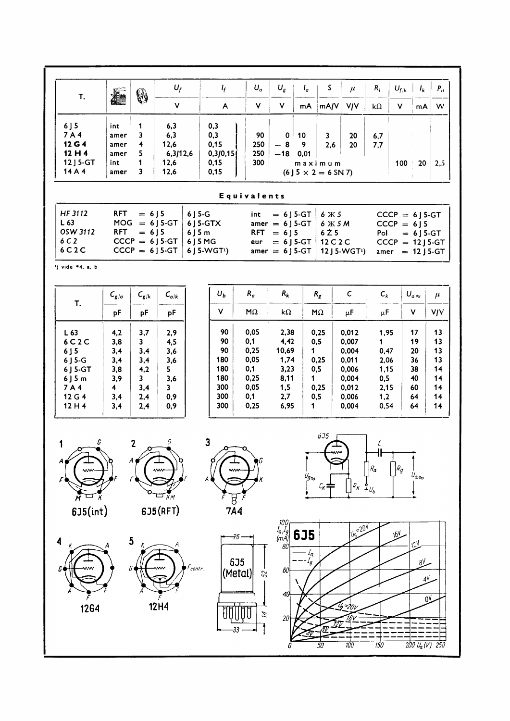| Т.                                                                                                                                                                                                                                                                                                                                                                                                                                                                                                                                                                                                                      | 怎                                                         | 6                                                                                        | $U_f$                                                   | $I_f$                                                    | $U_a$                                                             | $U_g$                                                               | $I_a$                           | S.                                                              | $\mu$                                                                         | $R_i$                                                                     | $U_{f/k}$ | $I_k$                                              | $P_a$                                              |
|-------------------------------------------------------------------------------------------------------------------------------------------------------------------------------------------------------------------------------------------------------------------------------------------------------------------------------------------------------------------------------------------------------------------------------------------------------------------------------------------------------------------------------------------------------------------------------------------------------------------------|-----------------------------------------------------------|------------------------------------------------------------------------------------------|---------------------------------------------------------|----------------------------------------------------------|-------------------------------------------------------------------|---------------------------------------------------------------------|---------------------------------|-----------------------------------------------------------------|-------------------------------------------------------------------------------|---------------------------------------------------------------------------|-----------|----------------------------------------------------|----------------------------------------------------|
|                                                                                                                                                                                                                                                                                                                                                                                                                                                                                                                                                                                                                         |                                                           |                                                                                          | $\checkmark$                                            | A                                                        | V                                                                 | $\mathsf{V}$                                                        | mA                              | mA/V                                                            | <b>V/V</b>                                                                    | $k\Omega$                                                                 | <b>V</b>  | mA                                                 | W                                                  |
| $6$ J 5<br>7A4<br>12 G 4<br>12H4<br>12 J 5-GT<br>14 A 4                                                                                                                                                                                                                                                                                                                                                                                                                                                                                                                                                                 | int<br>amer<br>amer<br>amer<br>int<br>amer                | 1<br>3<br>4<br>5<br>1<br>3                                                               | 6,3<br>6,3<br>12,6<br>6,3/12,6<br>12,6<br>12,6          | 0,3<br>0,3<br>0,15<br>0,3/0,15<br>0,15<br>0,15           | 90<br>250<br>250<br>300                                           | $\mathbf 0$<br>$-8$<br>$-18$                                        | 10<br>9<br>0,01                 | $\mathbf{3}$<br>2,6<br>maximum<br>$(6$ J 5 $\times$ 2 = 6 SN 7) | 20<br>20                                                                      | 6,7<br>7,7                                                                | $100 -$   | 20                                                 | 2,5                                                |
|                                                                                                                                                                                                                                                                                                                                                                                                                                                                                                                                                                                                                         |                                                           |                                                                                          |                                                         |                                                          | Equivalents                                                       |                                                                     |                                 |                                                                 |                                                                               |                                                                           |           |                                                    |                                                    |
| HF 3112<br><b>RFT</b><br>$= 6$ ] 5<br>$6$ J 5-G<br>$= 6$ J 5-GT<br>int<br>6 Ж 5<br>$CCCP = 6$ J 5-GT<br>L <sub>63</sub><br>$MOG = 6$ ] 5-GT<br>6 J 5-GTX<br>amer = $6$ J 5-GT<br>6 Ж 5 М<br>$CCCP = 6J5$<br>OSW 3112<br><b>RFT</b><br>$= 6$ ] 5<br>$6$ J 5 m<br><b>RFT</b><br>$= 6$ ] 5<br>6Z5<br>Pol<br>$= 6$ ] 5-GT<br>6C2<br>$CCCP = 6$ ] 5-GT<br>6 J 5 M G<br>$= 6$ J 5-GT<br>12 C 2 C<br>$CCCP = 12$ J 5-GT<br>eur<br>6C2C<br>$CCCP = 6$ ] 5-GT<br>6 J 5-WGT <sup>1</sup> )<br>amer $= 6$ J 5-GT<br>12 J 5-WGT <sup>1</sup> )<br>amer<br>$= 12$ J 5-GT<br>1) vide *4, a, b                                         |                                                           |                                                                                          |                                                         |                                                          |                                                                   |                                                                     |                                 |                                                                 |                                                                               |                                                                           |           |                                                    |                                                    |
| T.                                                                                                                                                                                                                                                                                                                                                                                                                                                                                                                                                                                                                      | $C_{g/a}$                                                 | $C_{g/k}$                                                                                | $\mathsf{C}_{a/k}$                                      | $U_b$                                                    | $R_a$                                                             | $R_k$                                                               |                                 | $R_g\;$                                                         | $\mathsf{C}$                                                                  | $\mathsf{C}_k$                                                            |           | $U_{\sigma\,\approx\,}$                            | $\mu$                                              |
|                                                                                                                                                                                                                                                                                                                                                                                                                                                                                                                                                                                                                         | pF                                                        | pF                                                                                       | pF                                                      | $\mathsf{V}$                                             | $\mathsf{M}\Omega$                                                | k $\Omega$                                                          |                                 | $M\Omega$                                                       | $\mu$ F                                                                       | $\mu$ F                                                                   |           | V.                                                 | <b>V/V</b>                                         |
| L63<br>6C2C<br>$6$ J $5$<br>$6$ J 5-G<br>6 J 5-GT<br>$6$ J 5 m<br>7A4<br>12 G 4<br>12H4                                                                                                                                                                                                                                                                                                                                                                                                                                                                                                                                 | 4,2<br>3,8<br>3,4<br>3,4<br>3,8<br>3,9<br>4<br>3,4<br>3,4 | 3,7<br>$\overline{\mathbf{3}}$<br>3,4<br>3,4<br>4,2<br>$\mathbf{3}$<br>3,4<br>2,4<br>2,4 | 2,9<br>4,5<br>3,6<br>3,6<br>5<br>3,6<br>3<br>0,9<br>0,9 | 90<br>90<br>90<br>180<br>180<br>180<br>300<br>300<br>300 | 0,05<br>0,1<br>0,25<br>0,05<br>0,1<br>0,25<br>0,05<br>0,1<br>0,25 | 2,38<br>4,42<br>10,69<br>1,74<br>3,23<br>8,11<br>1,5<br>2,7<br>6,95 | $\mathbf 1$<br>$\mathbf 1$<br>1 | 0,25<br>0,5<br>0,25<br>0,5<br>0,25<br>0,5                       | 0,012<br>0,007<br>0,004<br>0,011<br>0,006<br>0,004<br>0,012<br>0,006<br>0,004 | 1,95<br>$\mathbf 1$<br>0,47<br>2,06<br>1,15<br>0,5<br>2,15<br>1,2<br>0,54 |           | 17<br>19<br>20<br>36<br>38<br>40<br>60<br>64<br>64 | 13<br>13<br>13<br>13<br>14<br>14<br>14<br>14<br>14 |
| 0.75<br>$\mathbf{3}$<br>G<br>G<br>$\mathbf{2}$<br>1<br>С<br>o<br>A<br>$R_{g}$<br>$R_{\pmb{\alpha}}$<br>ww<br>w₩<br>m<br>$U_{\alpha}$<br>$\frac{U_g}{\epsilon}$<br>$R_{\pmb{\kappa}}$<br>$c_{\kappa}$ $\neq$<br>$\frac{1}{2}U_b$<br><b>KM</b><br>$\frac{8}{7}$<br>6J5(RFT)<br>6J5(int)<br>100<br>I <sub>a י</sub> וף<br>(mA)<br>$10^{520}$<br>635<br>16V<br>$-26$<br>$\overline{\mathbf{5}}$<br>4<br>12 <sup>1</sup><br>80<br>$I_{\alpha}$<br>635<br>8V<br>$\mathit{F}_{centr.}$<br>G<br>60<br>(Metal)<br>52<br>4V<br>40<br>۵V<br><b>12H4</b><br>1264<br>Þ.<br>20<br>200 U <sub>a</sub> (V) 250<br>100<br>150<br>50<br>0 |                                                           |                                                                                          |                                                         |                                                          |                                                                   |                                                                     |                                 |                                                                 |                                                                               |                                                                           |           |                                                    |                                                    |